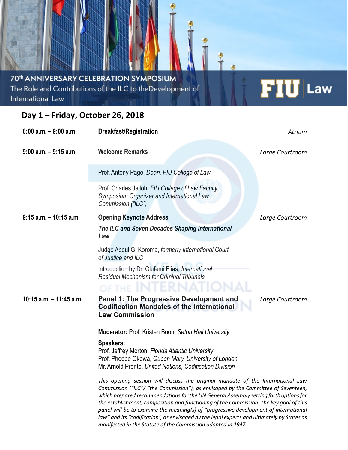## 70<sup>th</sup> ANNIVERSARY CELEBRATION SYMPOSIUM The Role and Contributions of the ILC to theDevelopment of

International Law

## **Day 1 – Friday, October 26, 2018**

| $8:00$ a.m. $-9:00$ a.m.  | <b>Breakfast/Registration</b>                                                                                                                                                                                                                                                                                                                                                                                                                                                                                                                                                                                | Atrium          |  |
|---------------------------|--------------------------------------------------------------------------------------------------------------------------------------------------------------------------------------------------------------------------------------------------------------------------------------------------------------------------------------------------------------------------------------------------------------------------------------------------------------------------------------------------------------------------------------------------------------------------------------------------------------|-----------------|--|
| $9:00$ a.m. $-9:15$ a.m.  | <b>Welcome Remarks</b>                                                                                                                                                                                                                                                                                                                                                                                                                                                                                                                                                                                       | Large Courtroom |  |
|                           | Prof. Antony Page, Dean, FIU College of Law                                                                                                                                                                                                                                                                                                                                                                                                                                                                                                                                                                  |                 |  |
|                           | Prof. Charles Jalloh, FIU College of Law Faculty<br>Symposium Organizer and International Law<br>Commission ("ILC")                                                                                                                                                                                                                                                                                                                                                                                                                                                                                          |                 |  |
| $9:15$ a.m. $-10:15$ a.m. | <b>Opening Keynote Address</b>                                                                                                                                                                                                                                                                                                                                                                                                                                                                                                                                                                               | Large Courtroom |  |
|                           | The ILC and Seven Decades Shaping International<br>Law                                                                                                                                                                                                                                                                                                                                                                                                                                                                                                                                                       |                 |  |
|                           | Judge Abdul G. Koroma, formerly International Court<br>of Justice and ILC                                                                                                                                                                                                                                                                                                                                                                                                                                                                                                                                    |                 |  |
|                           | Introduction by Dr. Olufemi Elias, International<br><b>Residual Mechanism for Criminal Tribunals</b>                                                                                                                                                                                                                                                                                                                                                                                                                                                                                                         |                 |  |
|                           | OF THE                                                                                                                                                                                                                                                                                                                                                                                                                                                                                                                                                                                                       |                 |  |
| 10:15 a.m. - 11:45 a.m.   | Panel 1: The Progressive Development and<br><b>Codification Mandates of the International</b><br><b>Law Commission</b>                                                                                                                                                                                                                                                                                                                                                                                                                                                                                       | Large Courtroom |  |
|                           | <b>Moderator: Prof. Kristen Boon, Seton Hall University</b>                                                                                                                                                                                                                                                                                                                                                                                                                                                                                                                                                  |                 |  |
|                           | Speakers:<br>Prof. Jeffrey Morton, Florida Atlantic University<br>Prof. Phoebe Okowa, Queen Mary, University of London<br>Mr. Arnold Pronto, United Nations, Codification Division                                                                                                                                                                                                                                                                                                                                                                                                                           |                 |  |
|                           | This opening session will discuss the original mandate of the International Law<br>Commission ("ILC"/ "the Commission"), as envisaged by the Committee of Seventeen,<br>which prepared recommendations for the UN General Assembly setting forth options for<br>the establishment, composition and functioning of the Commission. The key goal of this<br>panel will be to examine the meaning(s) of "progressive development of international<br>law" and its "codification", as envisaged by the legal experts and ultimately by States as<br>manifested in the Statute of the Commission adopted in 1947. |                 |  |

**FIU** Law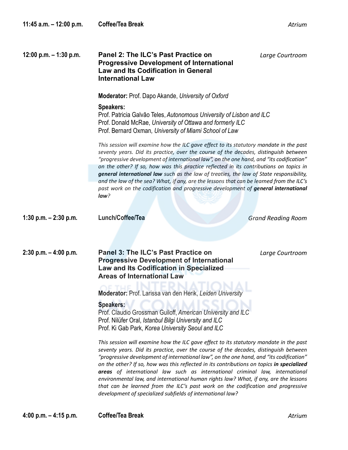| 12:00 p.m. – 1:30 p.m. | Panel 2: The ILC's Past Practice on<br><b>Progressive Development of International</b><br><b>Law and Its Codification in General</b><br><b>International Law</b>                                                                                                                                                                                                                                                                                                                                                                                                                                                                                                                                 | Large Courtroom           |
|------------------------|--------------------------------------------------------------------------------------------------------------------------------------------------------------------------------------------------------------------------------------------------------------------------------------------------------------------------------------------------------------------------------------------------------------------------------------------------------------------------------------------------------------------------------------------------------------------------------------------------------------------------------------------------------------------------------------------------|---------------------------|
|                        | <b>Moderator:</b> Prof. Dapo Akande, University of Oxford                                                                                                                                                                                                                                                                                                                                                                                                                                                                                                                                                                                                                                        |                           |
|                        | Speakers:<br>Prof. Patricia Galvão Teles, Autonomous University of Lisbon and ILC<br>Prof. Donald McRae, University of Ottawa and formerly ILC<br>Prof. Bernard Oxman, University of Miami School of Law                                                                                                                                                                                                                                                                                                                                                                                                                                                                                         |                           |
|                        | This session will examine how the ILC gave effect to its statutory mandate in the past<br>seventy years. Did its practice, over the course of the decades, distinguish between<br>"progressive development of international law", on the one hand, and "its codification"<br>on the other? If so, how was this practice reflected in its contributions on topics in<br>general international law such as the law of treaties, the law of State responsibility,<br>and the law of the sea? What, if any, are the lessons that can be learned from the ILC's<br>past work on the codification and progressive development of general international<br>law?                                         |                           |
| 1:30 p.m. – 2:30 p.m.  | Lunch/Coffee/Tea                                                                                                                                                                                                                                                                                                                                                                                                                                                                                                                                                                                                                                                                                 | <b>Grand Reading Room</b> |
| 2:30 p.m. – 4:00 p.m.  | <b>Panel 3: The ILC's Past Practice on</b><br><b>Progressive Development of International</b><br><b>Law and Its Codification in Specialized</b><br><b>Areas of International Law</b>                                                                                                                                                                                                                                                                                                                                                                                                                                                                                                             | Large Courtroom           |
|                        | Moderator: Prof. Larissa van den Herik, Leiden University                                                                                                                                                                                                                                                                                                                                                                                                                                                                                                                                                                                                                                        |                           |
|                        | <b>Speakers:</b><br>Prof. Claudio Grossman Guiloff, American University and ILC<br>Prof. Nilüfer Oral, Istanbul Bilgi University and ILC<br>Prof. Ki Gab Park, Korea University Seoul and ILC                                                                                                                                                                                                                                                                                                                                                                                                                                                                                                    |                           |
|                        | This session will examine how the ILC gave effect to its statutory mandate in the past<br>seventy years. Did its practice, over the course of the decades, distinguish between<br>"progressive development of international law", on the one hand, and "its codification"<br>on the other? If so, how was this reflected in its contributions on topics in specialized<br>areas of international law such as international criminal law, international<br>environmental law, and international human rights law? What, if any, are the lessons<br>that can be learned from the ILC's past work on the codification and progressive<br>development of specialized subfields of international law? |                           |